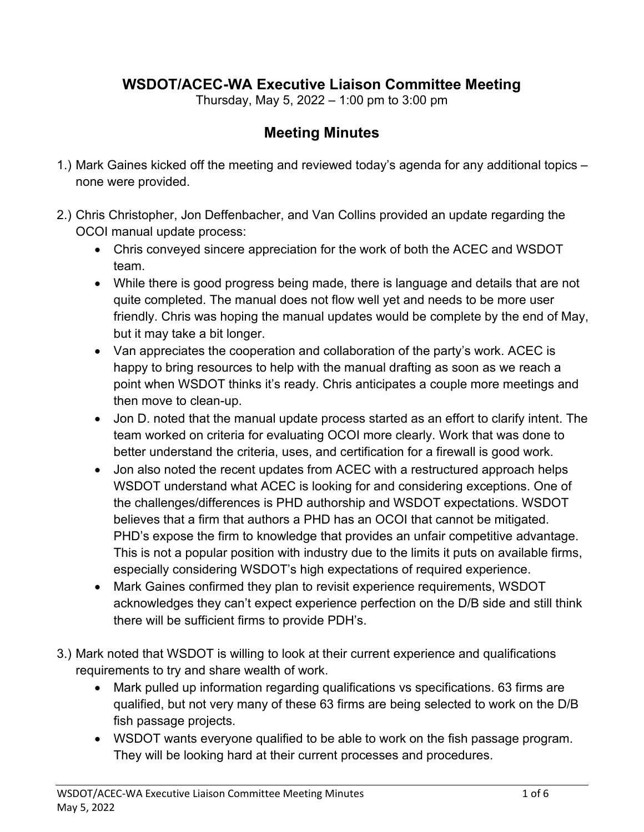## **WSDOT/ACEC-WA Executive Liaison Committee Meeting**

Thursday, May 5, 2022 – 1:00 pm to 3:00 pm

## **Meeting Minutes**

- 1.) Mark Gaines kicked off the meeting and reviewed today's agenda for any additional topics none were provided.
- 2.) Chris Christopher, Jon Deffenbacher, and Van Collins provided an update regarding the OCOI manual update process:
	- Chris conveyed sincere appreciation for the work of both the ACEC and WSDOT team.
	- While there is good progress being made, there is language and details that are not quite completed. The manual does not flow well yet and needs to be more user friendly. Chris was hoping the manual updates would be complete by the end of May, but it may take a bit longer.
	- Van appreciates the cooperation and collaboration of the party's work. ACEC is happy to bring resources to help with the manual drafting as soon as we reach a point when WSDOT thinks it's ready. Chris anticipates a couple more meetings and then move to clean-up.
	- Jon D. noted that the manual update process started as an effort to clarify intent. The team worked on criteria for evaluating OCOI more clearly. Work that was done to better understand the criteria, uses, and certification for a firewall is good work.
	- Jon also noted the recent updates from ACEC with a restructured approach helps WSDOT understand what ACEC is looking for and considering exceptions. One of the challenges/differences is PHD authorship and WSDOT expectations. WSDOT believes that a firm that authors a PHD has an OCOI that cannot be mitigated. PHD's expose the firm to knowledge that provides an unfair competitive advantage. This is not a popular position with industry due to the limits it puts on available firms, especially considering WSDOT's high expectations of required experience.
	- Mark Gaines confirmed they plan to revisit experience requirements, WSDOT acknowledges they can't expect experience perfection on the D/B side and still think there will be sufficient firms to provide PDH's.
- 3.) Mark noted that WSDOT is willing to look at their current experience and qualifications requirements to try and share wealth of work.
	- Mark pulled up information regarding qualifications vs specifications. 63 firms are qualified, but not very many of these 63 firms are being selected to work on the D/B fish passage projects.
	- WSDOT wants everyone qualified to be able to work on the fish passage program. They will be looking hard at their current processes and procedures.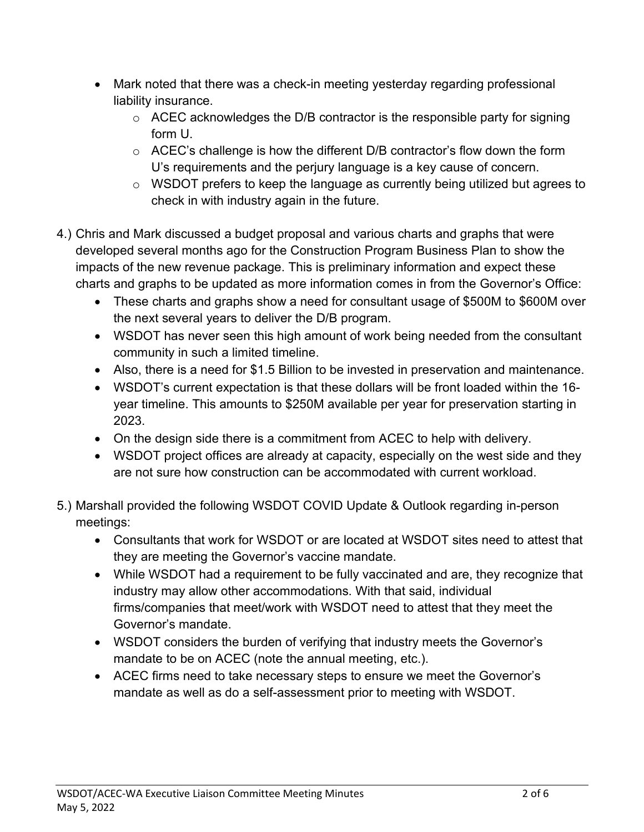- Mark noted that there was a check-in meeting yesterday regarding professional liability insurance.
	- $\circ$  ACEC acknowledges the D/B contractor is the responsible party for signing form U.
	- o ACEC's challenge is how the different D/B contractor's flow down the form U's requirements and the perjury language is a key cause of concern.
	- o WSDOT prefers to keep the language as currently being utilized but agrees to check in with industry again in the future.
- 4.) Chris and Mark discussed a budget proposal and various charts and graphs that were developed several months ago for the Construction Program Business Plan to show the impacts of the new revenue package. This is preliminary information and expect these charts and graphs to be updated as more information comes in from the Governor's Office:
	- These charts and graphs show a need for consultant usage of \$500M to \$600M over the next several years to deliver the D/B program.
	- WSDOT has never seen this high amount of work being needed from the consultant community in such a limited timeline.
	- Also, there is a need for \$1.5 Billion to be invested in preservation and maintenance.
	- WSDOT's current expectation is that these dollars will be front loaded within the 16 year timeline. This amounts to \$250M available per year for preservation starting in 2023.
	- On the design side there is a commitment from ACEC to help with delivery.
	- WSDOT project offices are already at capacity, especially on the west side and they are not sure how construction can be accommodated with current workload.
- 5.) Marshall provided the following WSDOT COVID Update & Outlook regarding in-person meetings:
	- Consultants that work for WSDOT or are located at WSDOT sites need to attest that they are meeting the Governor's vaccine mandate.
	- While WSDOT had a requirement to be fully vaccinated and are, they recognize that industry may allow other accommodations. With that said, individual firms/companies that meet/work with WSDOT need to attest that they meet the Governor's mandate.
	- WSDOT considers the burden of verifying that industry meets the Governor's mandate to be on ACEC (note the annual meeting, etc.).
	- ACEC firms need to take necessary steps to ensure we meet the Governor's mandate as well as do a self-assessment prior to meeting with WSDOT.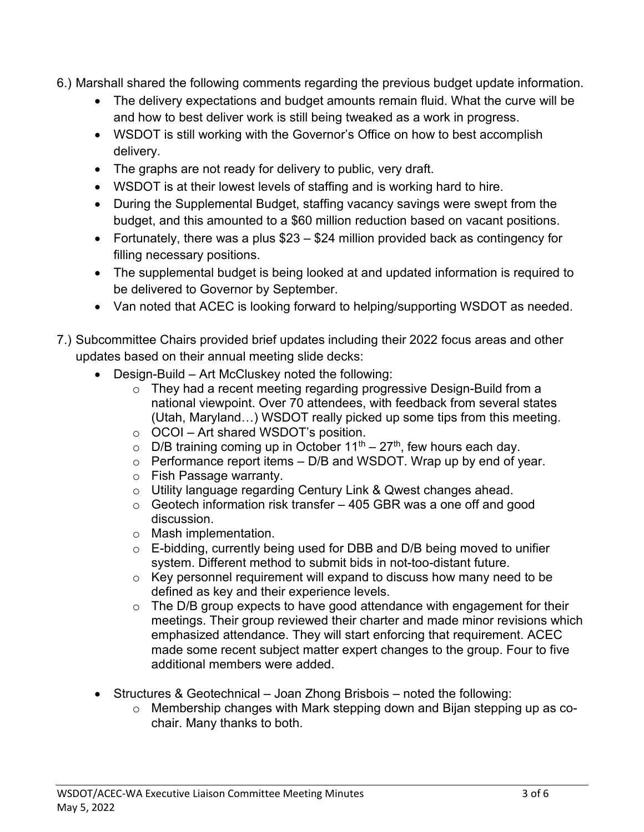- 6.) Marshall shared the following comments regarding the previous budget update information.
	- The delivery expectations and budget amounts remain fluid. What the curve will be and how to best deliver work is still being tweaked as a work in progress.
	- WSDOT is still working with the Governor's Office on how to best accomplish delivery.
	- The graphs are not ready for delivery to public, very draft.
	- WSDOT is at their lowest levels of staffing and is working hard to hire.
	- During the Supplemental Budget, staffing vacancy savings were swept from the budget, and this amounted to a \$60 million reduction based on vacant positions.
	- Fortunately, there was a plus \$23 \$24 million provided back as contingency for filling necessary positions.
	- The supplemental budget is being looked at and updated information is required to be delivered to Governor by September.
	- Van noted that ACEC is looking forward to helping/supporting WSDOT as needed.
- 7.) Subcommittee Chairs provided brief updates including their 2022 focus areas and other updates based on their annual meeting slide decks:
	- Design-Build Art McCluskey noted the following:
		- $\circ$  They had a recent meeting regarding progressive Design-Build from a national viewpoint. Over 70 attendees, with feedback from several states (Utah, Maryland…) WSDOT really picked up some tips from this meeting.
		- o OCOI Art shared WSDOT's position.
		- $\circ$  D/B training coming up in October 11<sup>th</sup> 27<sup>th</sup>, few hours each day.
		- $\circ$  Performance report items D/B and WSDOT. Wrap up by end of year.
		- o Fish Passage warranty.
		- o Utility language regarding Century Link & Qwest changes ahead.
		- $\circ$  Geotech information risk transfer 405 GBR was a one off and good discussion.
		- o Mash implementation.
		- o E-bidding, currently being used for DBB and D/B being moved to unifier system. Different method to submit bids in not-too-distant future.
		- $\circ$  Key personnel requirement will expand to discuss how many need to be defined as key and their experience levels.
		- $\circ$  The D/B group expects to have good attendance with engagement for their meetings. Their group reviewed their charter and made minor revisions which emphasized attendance. They will start enforcing that requirement. ACEC made some recent subject matter expert changes to the group. Four to five additional members were added.
	- Structures & Geotechnical Joan Zhong Brisbois noted the following:
		- o Membership changes with Mark stepping down and Bijan stepping up as cochair. Many thanks to both.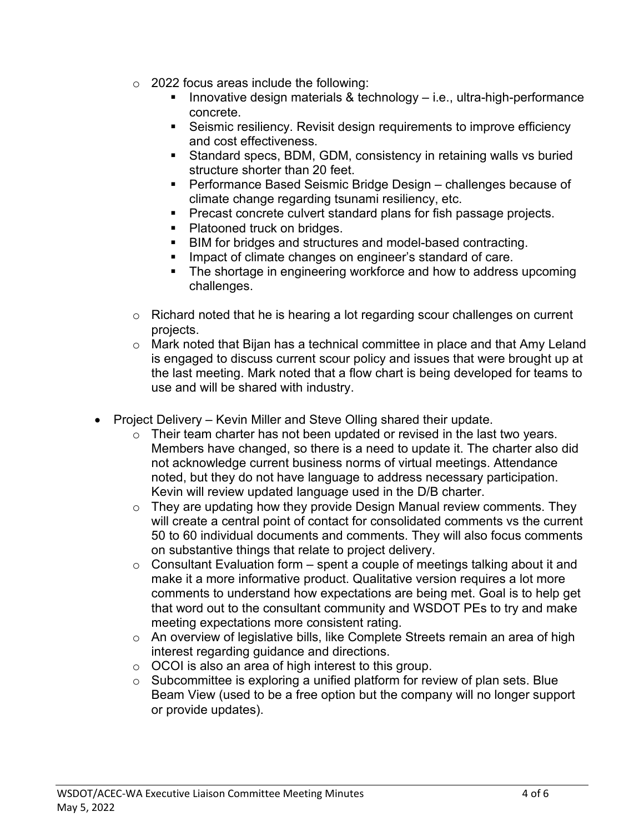- $\circ$  2022 focus areas include the following:
	- Innovative design materials & technology i.e., ultra-high-performance concrete.
	- Seismic resiliency. Revisit design requirements to improve efficiency and cost effectiveness.
	- Standard specs, BDM, GDM, consistency in retaining walls vs buried structure shorter than 20 feet.
	- Performance Based Seismic Bridge Design challenges because of climate change regarding tsunami resiliency, etc.
	- **Precast concrete culvert standard plans for fish passage projects.**
	- Platooned truck on bridges.
	- **BIM for bridges and structures and model-based contracting.**
	- **Impact of climate changes on engineer's standard of care.**
	- The shortage in engineering workforce and how to address upcoming challenges.
- o Richard noted that he is hearing a lot regarding scour challenges on current projects.
- o Mark noted that Bijan has a technical committee in place and that Amy Leland is engaged to discuss current scour policy and issues that were brought up at the last meeting. Mark noted that a flow chart is being developed for teams to use and will be shared with industry.
- Project Delivery Kevin Miller and Steve Olling shared their update.
	- $\circ$  Their team charter has not been updated or revised in the last two years. Members have changed, so there is a need to update it. The charter also did not acknowledge current business norms of virtual meetings. Attendance noted, but they do not have language to address necessary participation. Kevin will review updated language used in the D/B charter.
	- $\circ$  They are updating how they provide Design Manual review comments. They will create a central point of contact for consolidated comments vs the current 50 to 60 individual documents and comments. They will also focus comments on substantive things that relate to project delivery.
	- $\circ$  Consultant Evaluation form spent a couple of meetings talking about it and make it a more informative product. Qualitative version requires a lot more comments to understand how expectations are being met. Goal is to help get that word out to the consultant community and WSDOT PEs to try and make meeting expectations more consistent rating.
	- o An overview of legislative bills, like Complete Streets remain an area of high interest regarding guidance and directions.
	- o OCOI is also an area of high interest to this group.
	- $\circ$  Subcommittee is exploring a unified platform for review of plan sets. Blue Beam View (used to be a free option but the company will no longer support or provide updates).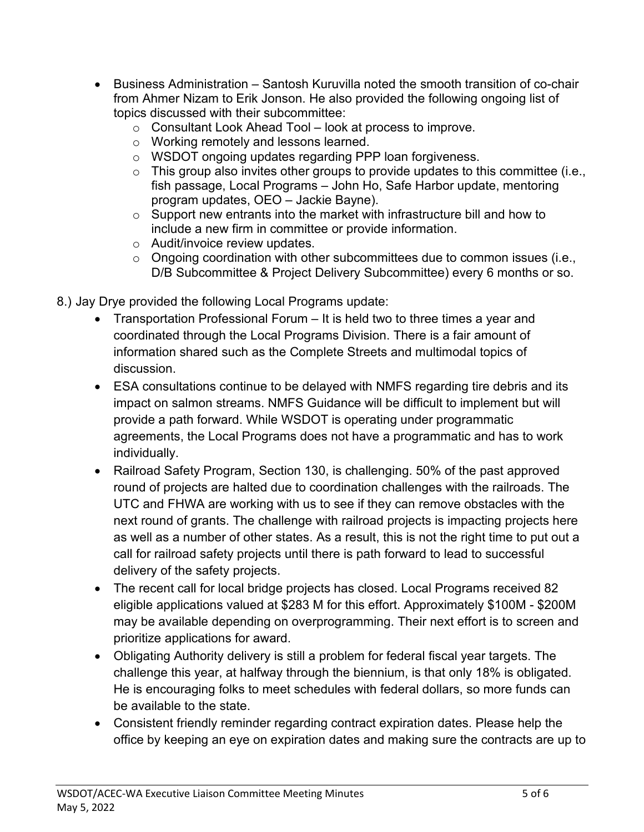- Business Administration Santosh Kuruvilla noted the smooth transition of co-chair from Ahmer Nizam to Erik Jonson. He also provided the following ongoing list of topics discussed with their subcommittee:
	- o Consultant Look Ahead Tool look at process to improve.
	- o Working remotely and lessons learned.
	- o WSDOT ongoing updates regarding PPP loan forgiveness.
	- $\circ$  This group also invites other groups to provide updates to this committee (i.e., fish passage, Local Programs – John Ho, Safe Harbor update, mentoring program updates, OEO – Jackie Bayne).
	- o Support new entrants into the market with infrastructure bill and how to include a new firm in committee or provide information.
	- o Audit/invoice review updates.
	- o Ongoing coordination with other subcommittees due to common issues (i.e., D/B Subcommittee & Project Delivery Subcommittee) every 6 months or so.

8.) Jay Drye provided the following Local Programs update:

- Transportation Professional Forum It is held two to three times a year and coordinated through the Local Programs Division. There is a fair amount of information shared such as the Complete Streets and multimodal topics of discussion.
- ESA consultations continue to be delayed with NMFS regarding tire debris and its impact on salmon streams. NMFS Guidance will be difficult to implement but will provide a path forward. While WSDOT is operating under programmatic agreements, the Local Programs does not have a programmatic and has to work individually.
- Railroad Safety Program, Section 130, is challenging. 50% of the past approved round of projects are halted due to coordination challenges with the railroads. The UTC and FHWA are working with us to see if they can remove obstacles with the next round of grants. The challenge with railroad projects is impacting projects here as well as a number of other states. As a result, this is not the right time to put out a call for railroad safety projects until there is path forward to lead to successful delivery of the safety projects.
- The recent call for local bridge projects has closed. Local Programs received 82 eligible applications valued at \$283 M for this effort. Approximately \$100M - \$200M may be available depending on overprogramming. Their next effort is to screen and prioritize applications for award.
- Obligating Authority delivery is still a problem for federal fiscal year targets. The challenge this year, at halfway through the biennium, is that only 18% is obligated. He is encouraging folks to meet schedules with federal dollars, so more funds can be available to the state.
- Consistent friendly reminder regarding contract expiration dates. Please help the office by keeping an eye on expiration dates and making sure the contracts are up to